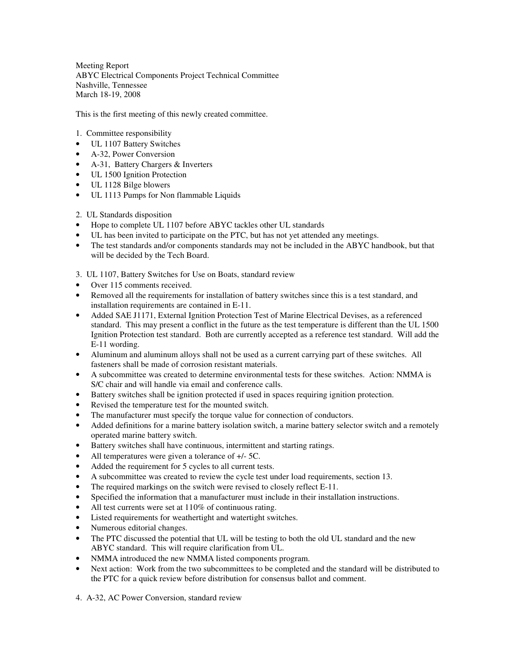Meeting Report ABYC Electrical Components Project Technical Committee Nashville, Tennessee March 18-19, 2008

This is the first meeting of this newly created committee.

- 1. Committee responsibility
- UL 1107 Battery Switches
- A-32, Power Conversion
- A-31, Battery Chargers & Inverters
- UL 1500 Ignition Protection
- UL 1128 Bilge blowers
- UL 1113 Pumps for Non flammable Liquids
- 2. UL Standards disposition
- Hope to complete UL 1107 before ABYC tackles other UL standards
- UL has been invited to participate on the PTC, but has not yet attended any meetings.
- The test standards and/or components standards may not be included in the ABYC handbook, but that will be decided by the Tech Board.
- 3. UL 1107, Battery Switches for Use on Boats, standard review
- Over 115 comments received.
- Removed all the requirements for installation of battery switches since this is a test standard, and installation requirements are contained in E-11.
- Added SAE J1171, External Ignition Protection Test of Marine Electrical Devises, as a referenced standard. This may present a conflict in the future as the test temperature is different than the UL 1500 Ignition Protection test standard. Both are currently accepted as a reference test standard. Will add the E-11 wording.
- Aluminum and aluminum alloys shall not be used as a current carrying part of these switches. All fasteners shall be made of corrosion resistant materials.
- A subcommittee was created to determine environmental tests for these switches. Action: NMMA is S/C chair and will handle via email and conference calls.
- Battery switches shall be ignition protected if used in spaces requiring ignition protection.
- Revised the temperature test for the mounted switch.
- The manufacturer must specify the torque value for connection of conductors.
- Added definitions for a marine battery isolation switch, a marine battery selector switch and a remotely operated marine battery switch.
- Battery switches shall have continuous, intermittent and starting ratings.
- All temperatures were given a tolerance of  $+/-5C$ .
- Added the requirement for 5 cycles to all current tests.
- A subcommittee was created to review the cycle test under load requirements, section 13.
- The required markings on the switch were revised to closely reflect E-11.
- Specified the information that a manufacturer must include in their installation instructions.
- All test currents were set at 110% of continuous rating.
- Listed requirements for weathertight and watertight switches.
- Numerous editorial changes.
- The PTC discussed the potential that UL will be testing to both the old UL standard and the new ABYC standard. This will require clarification from UL.
- NMMA introduced the new NMMA listed components program.
- Next action: Work from the two subcommittees to be completed and the standard will be distributed to the PTC for a quick review before distribution for consensus ballot and comment.
- 4. A-32, AC Power Conversion, standard review